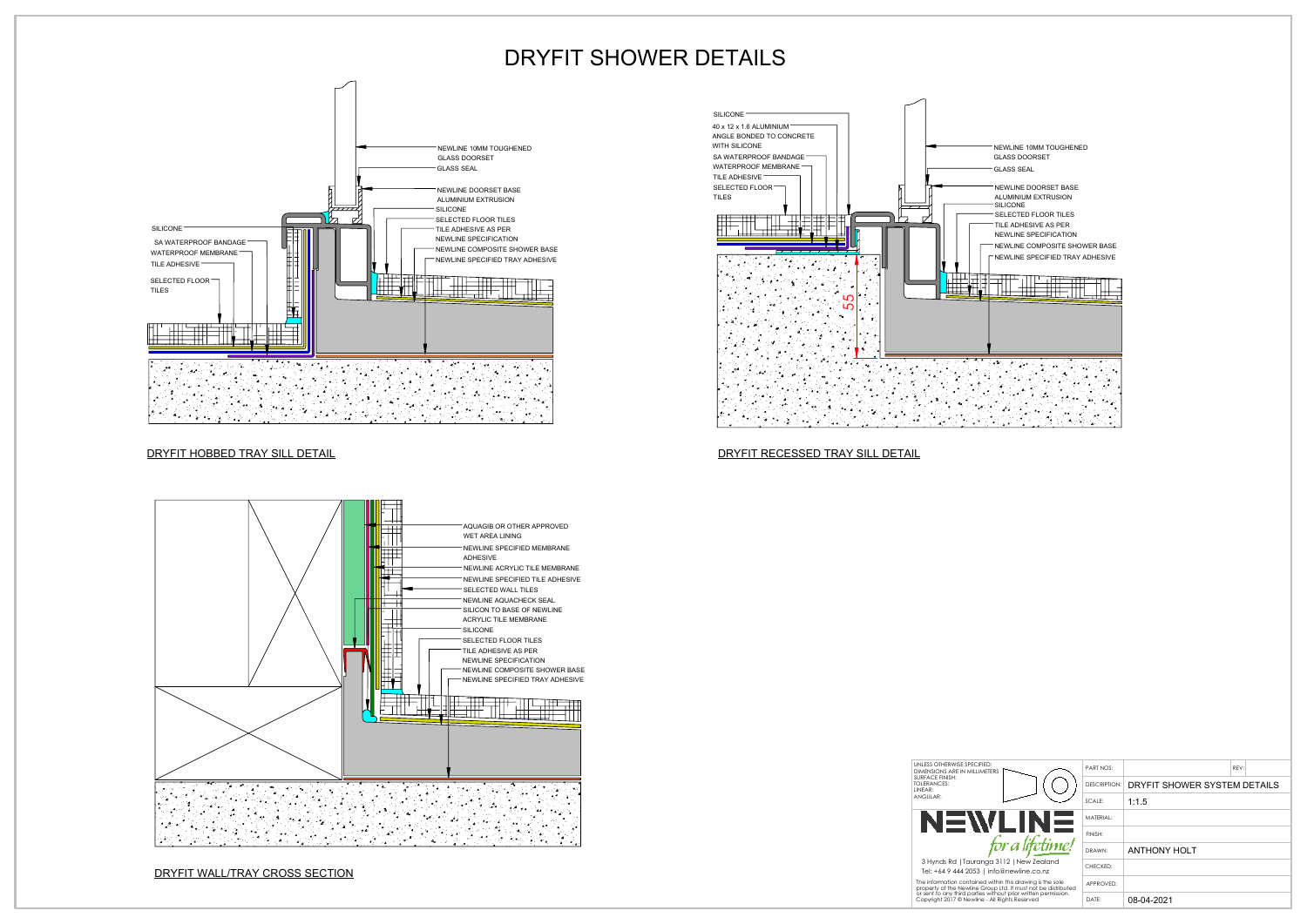



## NEWLINE 10MM TOUGHENED GLASS DOORSET **GLASS SEAL** NEWLINE DOORSET BASE ALUMINIUM EXTRUSION SILICONE SELECTED FLOOR TILES SILICONE TILE ADHESIVE AS PER NEWLINE SPECIFICATION SA WATERPROOF BANDAGE NEWLINE COMPOSITE SHOWER BASE WATERPROOF MEMBRANE ╢<del>╟╝┈┈</del><br>╫╫╫<del>┈┈╢</del>╎╎╷╎┞╤╬ NEWLINE SPECIFIED TRAY ADHESIVE TILE ADHESIVE ▛<del>▟▜▟▐▗▟</del>▊▅▅▊▅▅▚▅▅▅▅▅▅▅▅▅<del>▅▅▅▅▅▅▅▅▅▅<br>▟▟▟▟▅▅▊▟▊▊▅▊▅▊▟▟▟<u>▟▄▗</u>▟▐▟▞▁▗▞▊</del>▐▝▔▗▐▐▐▁ SELECTED FLOOR TILES ┯<u>╅┪┪<del>╘═╤┪┪┪╌╧┽</del>┲╤╬</u>╤╤╤┪<br>┼┼┼╧═╤╀┼┤╿═╌┨┨╿┢╶╿╿╿

## DRYFIT HOBBED TRAY SILL DETAIL DRYFIT RECESSED TRAY SILL DETAIL

DRYFIT WALL/TRAY CROSS SECTION

## DRYFIT SHOWER DETAILS

TeI: +64 9 444 2053 | info@newline.co.nz The information contained within this drawing is the sole